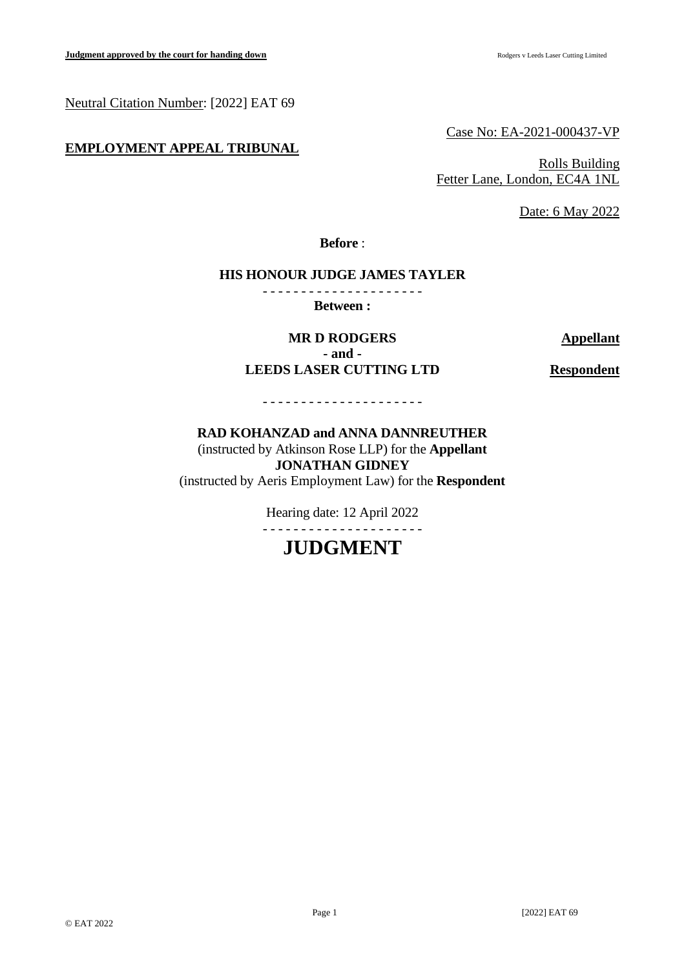Neutral Citation Number: [2022] EAT 69

## **EMPLOYMENT APPEAL TRIBUNAL**

Case No: EA-2021-000437-VP

Rolls Building Fetter Lane, London, EC4A 1NL

Date: 6 May 2022

**Before** :

#### **HIS HONOUR JUDGE JAMES TAYLER** - - - - - - - - - - - - - - - - - - - - -

**Between :**

**MR D RODGERS Appellant - and - LEEDS LASER CUTTING LTD Respondent**

## **RAD KOHANZAD and ANNA DANNREUTHER** (instructed by Atkinson Rose LLP) for the **Appellant JONATHAN GIDNEY**

- - - - - - - - - - - - - - - - - - - - -

(instructed by Aeris Employment Law) for the **Respondent**

Hearing date: 12 April 2022

# - - - - - - - - - - - - - - - - - - - - -

# **JUDGMENT**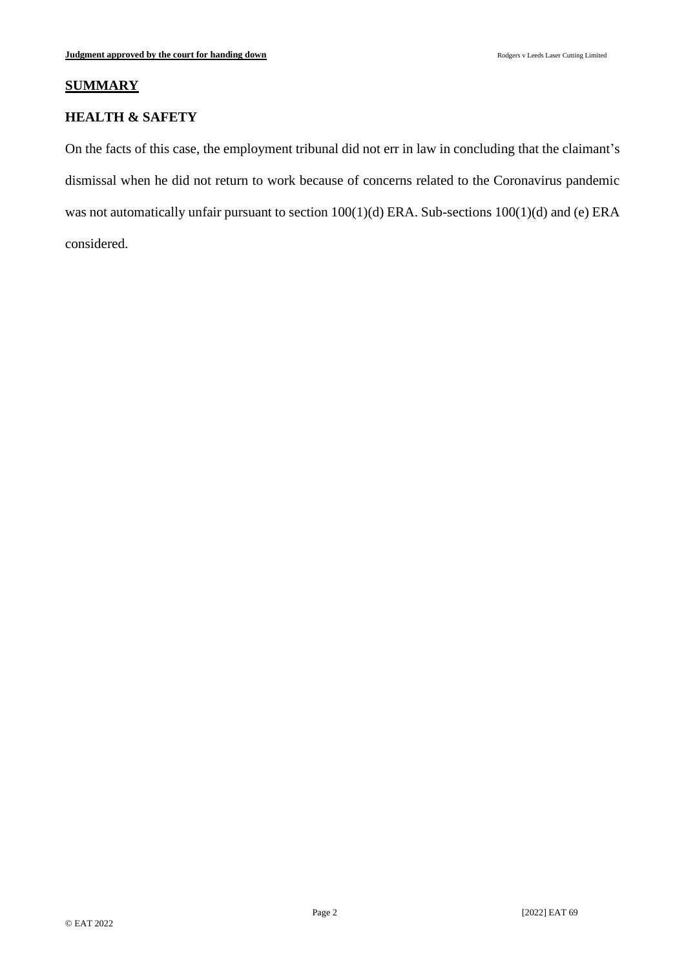### **SUMMARY**

### **HEALTH & SAFETY**

On the facts of this case, the employment tribunal did not err in law in concluding that the claimant's dismissal when he did not return to work because of concerns related to the Coronavirus pandemic was not automatically unfair pursuant to section 100(1)(d) ERA. Sub-sections 100(1)(d) and (e) ERA considered.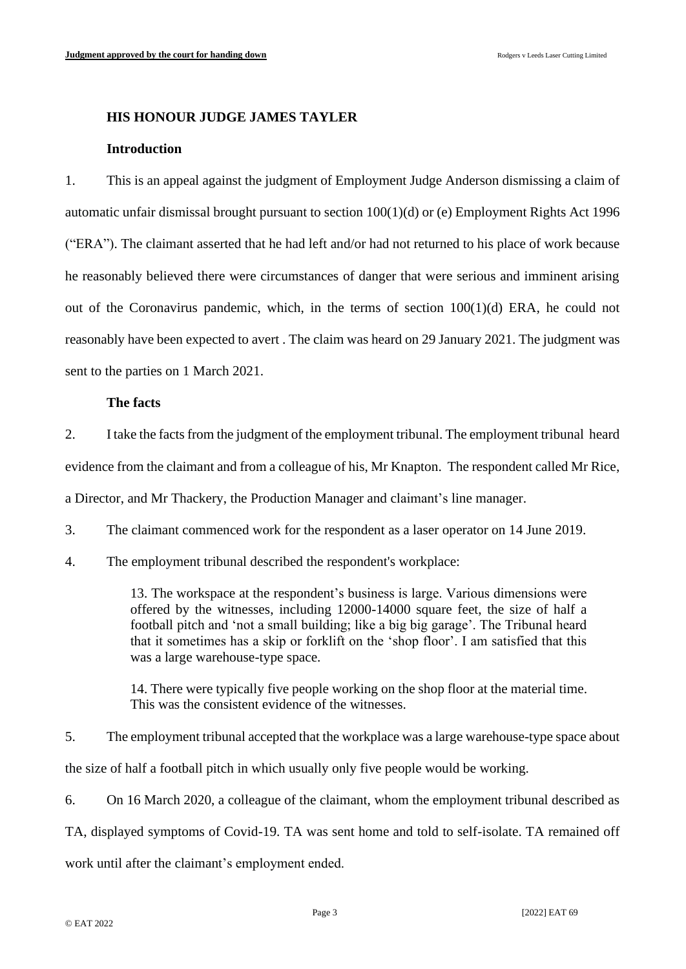#### **HIS HONOUR JUDGE JAMES TAYLER**

#### **Introduction**

1. This is an appeal against the judgment of Employment Judge Anderson dismissing a claim of automatic unfair dismissal brought pursuant to section 100(1)(d) or (e) Employment Rights Act 1996 ("ERA"). The claimant asserted that he had left and/or had not returned to his place of work because he reasonably believed there were circumstances of danger that were serious and imminent arising out of the Coronavirus pandemic, which, in the terms of section 100(1)(d) ERA, he could not reasonably have been expected to avert . The claim was heard on 29 January 2021. The judgment was sent to the parties on 1 March 2021.

#### **The facts**

2. I take the facts from the judgment of the employment tribunal. The employment tribunal heard evidence from the claimant and from a colleague of his, Mr Knapton. The respondent called Mr Rice,

a Director, and Mr Thackery, the Production Manager and claimant's line manager.

3. The claimant commenced work for the respondent as a laser operator on 14 June 2019.

4. The employment tribunal described the respondent's workplace:

13. The workspace at the respondent's business is large. Various dimensions were offered by the witnesses, including 12000-14000 square feet, the size of half a football pitch and 'not a small building; like a big big garage'. The Tribunal heard that it sometimes has a skip or forklift on the 'shop floor'. I am satisfied that this was a large warehouse-type space.

14. There were typically five people working on the shop floor at the material time. This was the consistent evidence of the witnesses.

5. The employment tribunal accepted that the workplace was a large warehouse-type space about

the size of half a football pitch in which usually only five people would be working.

6. On 16 March 2020, a colleague of the claimant, whom the employment tribunal described as

TA, displayed symptoms of Covid-19. TA was sent home and told to self-isolate. TA remained off

work until after the claimant's employment ended.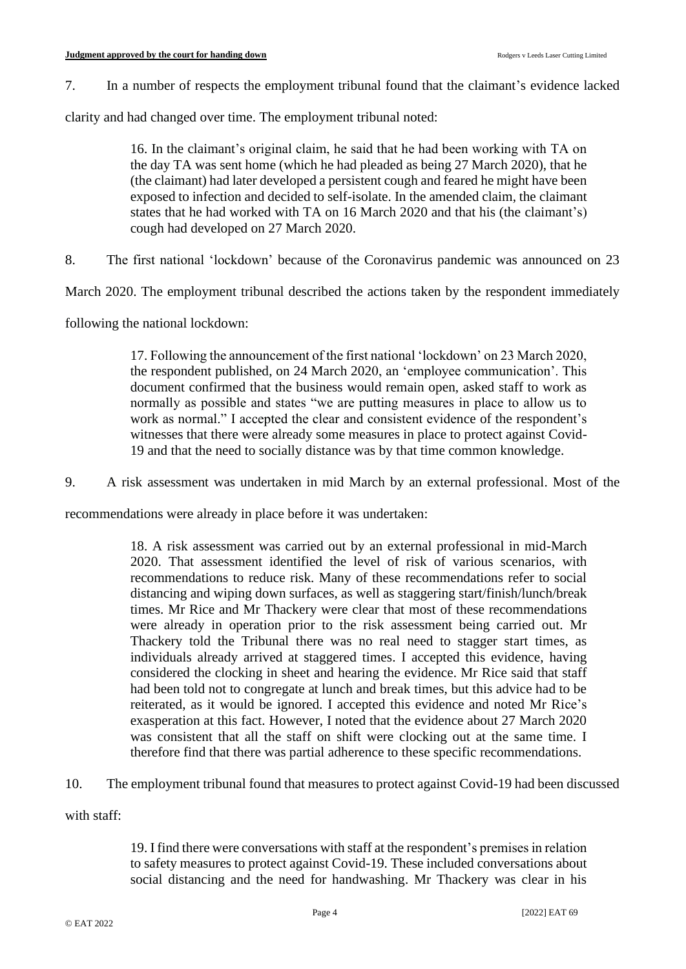7. In a number of respects the employment tribunal found that the claimant's evidence lacked

clarity and had changed over time. The employment tribunal noted:

16. In the claimant's original claim, he said that he had been working with TA on the day TA was sent home (which he had pleaded as being 27 March 2020), that he (the claimant) had later developed a persistent cough and feared he might have been exposed to infection and decided to self-isolate. In the amended claim, the claimant states that he had worked with TA on 16 March 2020 and that his (the claimant's) cough had developed on 27 March 2020.

8. The first national 'lockdown' because of the Coronavirus pandemic was announced on 23

March 2020. The employment tribunal described the actions taken by the respondent immediately

following the national lockdown:

17. Following the announcement of the first national 'lockdown' on 23 March 2020, the respondent published, on 24 March 2020, an 'employee communication'. This document confirmed that the business would remain open, asked staff to work as normally as possible and states "we are putting measures in place to allow us to work as normal." I accepted the clear and consistent evidence of the respondent's witnesses that there were already some measures in place to protect against Covid-19 and that the need to socially distance was by that time common knowledge.

9. A risk assessment was undertaken in mid March by an external professional. Most of the

recommendations were already in place before it was undertaken:

18. A risk assessment was carried out by an external professional in mid-March 2020. That assessment identified the level of risk of various scenarios, with recommendations to reduce risk. Many of these recommendations refer to social distancing and wiping down surfaces, as well as staggering start/finish/lunch/break times. Mr Rice and Mr Thackery were clear that most of these recommendations were already in operation prior to the risk assessment being carried out. Mr Thackery told the Tribunal there was no real need to stagger start times, as individuals already arrived at staggered times. I accepted this evidence, having considered the clocking in sheet and hearing the evidence. Mr Rice said that staff had been told not to congregate at lunch and break times, but this advice had to be reiterated, as it would be ignored. I accepted this evidence and noted Mr Rice's exasperation at this fact. However, I noted that the evidence about 27 March 2020 was consistent that all the staff on shift were clocking out at the same time. I therefore find that there was partial adherence to these specific recommendations.

10. The employment tribunal found that measures to protect against Covid-19 had been discussed

with staff:

19. I find there were conversations with staff at the respondent's premises in relation to safety measures to protect against Covid-19. These included conversations about social distancing and the need for handwashing. Mr Thackery was clear in his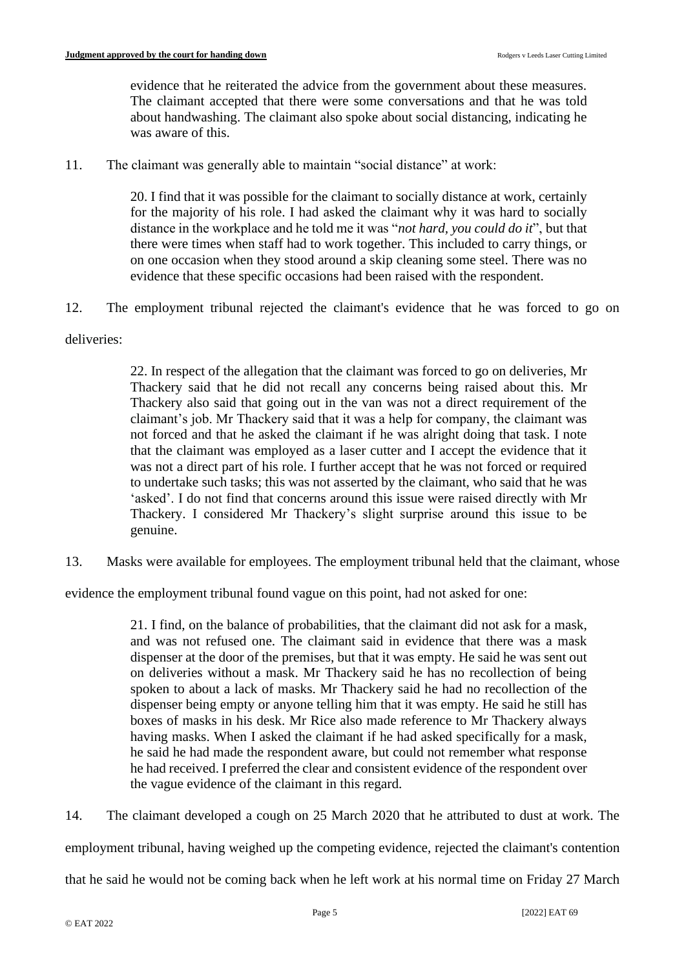evidence that he reiterated the advice from the government about these measures. The claimant accepted that there were some conversations and that he was told about handwashing. The claimant also spoke about social distancing, indicating he was aware of this.

11. The claimant was generally able to maintain "social distance" at work:

20. I find that it was possible for the claimant to socially distance at work, certainly for the majority of his role. I had asked the claimant why it was hard to socially distance in the workplace and he told me it was "*not hard, you could do it*", but that there were times when staff had to work together. This included to carry things, or on one occasion when they stood around a skip cleaning some steel. There was no evidence that these specific occasions had been raised with the respondent.

12. The employment tribunal rejected the claimant's evidence that he was forced to go on

## deliveries:

22. In respect of the allegation that the claimant was forced to go on deliveries, Mr Thackery said that he did not recall any concerns being raised about this. Mr Thackery also said that going out in the van was not a direct requirement of the claimant's job. Mr Thackery said that it was a help for company, the claimant was not forced and that he asked the claimant if he was alright doing that task. I note that the claimant was employed as a laser cutter and I accept the evidence that it was not a direct part of his role. I further accept that he was not forced or required to undertake such tasks; this was not asserted by the claimant, who said that he was 'asked'. I do not find that concerns around this issue were raised directly with Mr Thackery. I considered Mr Thackery's slight surprise around this issue to be genuine.

13. Masks were available for employees. The employment tribunal held that the claimant, whose

evidence the employment tribunal found vague on this point, had not asked for one:

21. I find, on the balance of probabilities, that the claimant did not ask for a mask, and was not refused one. The claimant said in evidence that there was a mask dispenser at the door of the premises, but that it was empty. He said he was sent out on deliveries without a mask. Mr Thackery said he has no recollection of being spoken to about a lack of masks. Mr Thackery said he had no recollection of the dispenser being empty or anyone telling him that it was empty. He said he still has boxes of masks in his desk. Mr Rice also made reference to Mr Thackery always having masks. When I asked the claimant if he had asked specifically for a mask, he said he had made the respondent aware, but could not remember what response he had received. I preferred the clear and consistent evidence of the respondent over the vague evidence of the claimant in this regard.

14. The claimant developed a cough on 25 March 2020 that he attributed to dust at work. The

employment tribunal, having weighed up the competing evidence, rejected the claimant's contention

that he said he would not be coming back when he left work at his normal time on Friday 27 March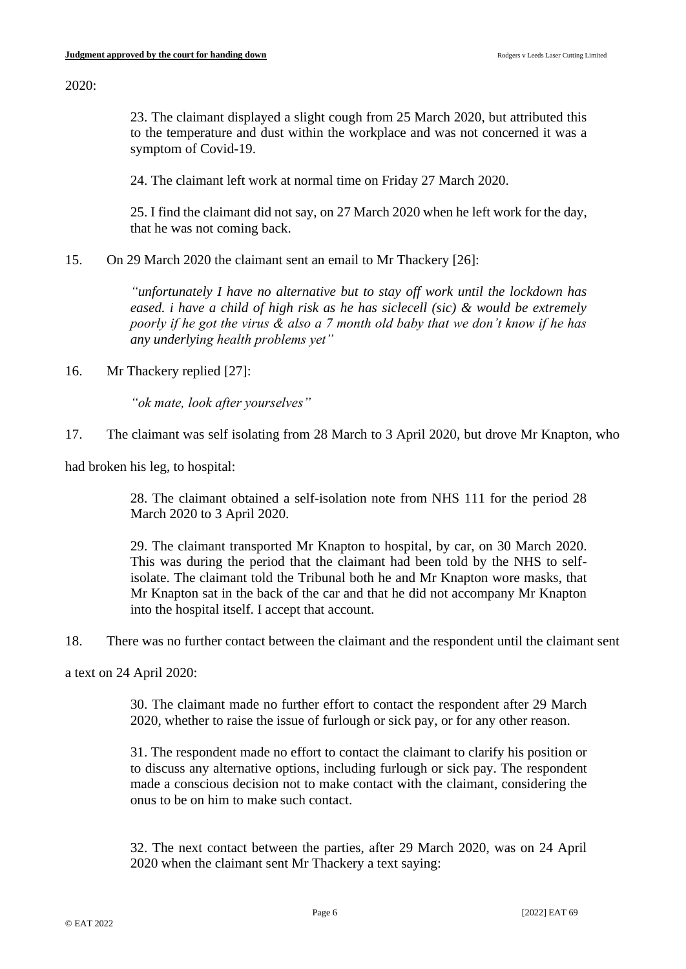2020:

23. The claimant displayed a slight cough from 25 March 2020, but attributed this to the temperature and dust within the workplace and was not concerned it was a symptom of Covid-19.

24. The claimant left work at normal time on Friday 27 March 2020.

25. I find the claimant did not say, on 27 March 2020 when he left work for the day, that he was not coming back.

15. On 29 March 2020 the claimant sent an email to Mr Thackery [26]:

*"unfortunately I have no alternative but to stay off work until the lockdown has eased. i have a child of high risk as he has siclecell (sic) & would be extremely poorly if he got the virus & also a 7 month old baby that we don't know if he has any underlying health problems yet"*

16. Mr Thackery replied [27]:

*"ok mate, look after yourselves"*

17. The claimant was self isolating from 28 March to 3 April 2020, but drove Mr Knapton, who

had broken his leg, to hospital:

28. The claimant obtained a self-isolation note from NHS 111 for the period 28 March 2020 to 3 April 2020.

29. The claimant transported Mr Knapton to hospital, by car, on 30 March 2020. This was during the period that the claimant had been told by the NHS to selfisolate. The claimant told the Tribunal both he and Mr Knapton wore masks, that Mr Knapton sat in the back of the car and that he did not accompany Mr Knapton into the hospital itself. I accept that account.

18. There was no further contact between the claimant and the respondent until the claimant sent

a text on 24 April 2020:

30. The claimant made no further effort to contact the respondent after 29 March 2020, whether to raise the issue of furlough or sick pay, or for any other reason.

31. The respondent made no effort to contact the claimant to clarify his position or to discuss any alternative options, including furlough or sick pay. The respondent made a conscious decision not to make contact with the claimant, considering the onus to be on him to make such contact.

32. The next contact between the parties, after 29 March 2020, was on 24 April 2020 when the claimant sent Mr Thackery a text saying: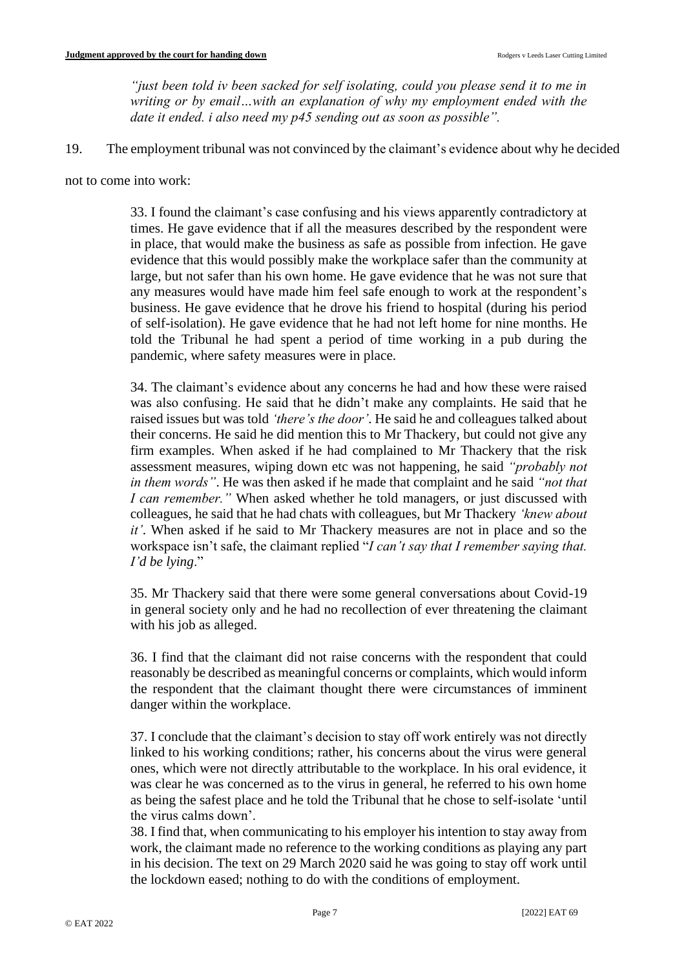*"just been told iv been sacked for self isolating, could you please send it to me in writing or by email…with an explanation of why my employment ended with the date it ended. i also need my p45 sending out as soon as possible".*

19. The employment tribunal was not convinced by the claimant's evidence about why he decided

not to come into work:

33. I found the claimant's case confusing and his views apparently contradictory at times. He gave evidence that if all the measures described by the respondent were in place, that would make the business as safe as possible from infection. He gave evidence that this would possibly make the workplace safer than the community at large, but not safer than his own home. He gave evidence that he was not sure that any measures would have made him feel safe enough to work at the respondent's business. He gave evidence that he drove his friend to hospital (during his period of self-isolation). He gave evidence that he had not left home for nine months. He told the Tribunal he had spent a period of time working in a pub during the pandemic, where safety measures were in place.

34. The claimant's evidence about any concerns he had and how these were raised was also confusing. He said that he didn't make any complaints. He said that he raised issues but was told *'there's the door'*. He said he and colleagues talked about their concerns. He said he did mention this to Mr Thackery, but could not give any firm examples. When asked if he had complained to Mr Thackery that the risk assessment measures, wiping down etc was not happening, he said *"probably not in them words"*. He was then asked if he made that complaint and he said *"not that I can remember."* When asked whether he told managers, or just discussed with colleagues, he said that he had chats with colleagues, but Mr Thackery *'knew about it'*. When asked if he said to Mr Thackery measures are not in place and so the workspace isn't safe, the claimant replied "*I can't say that I remember saying that. I'd be lying*."

35. Mr Thackery said that there were some general conversations about Covid-19 in general society only and he had no recollection of ever threatening the claimant with his job as alleged.

36. I find that the claimant did not raise concerns with the respondent that could reasonably be described as meaningful concerns or complaints, which would inform the respondent that the claimant thought there were circumstances of imminent danger within the workplace.

37. I conclude that the claimant's decision to stay off work entirely was not directly linked to his working conditions; rather, his concerns about the virus were general ones, which were not directly attributable to the workplace. In his oral evidence, it was clear he was concerned as to the virus in general, he referred to his own home as being the safest place and he told the Tribunal that he chose to self-isolate 'until the virus calms down'.

38. I find that, when communicating to his employer his intention to stay away from work, the claimant made no reference to the working conditions as playing any part in his decision. The text on 29 March 2020 said he was going to stay off work until the lockdown eased; nothing to do with the conditions of employment.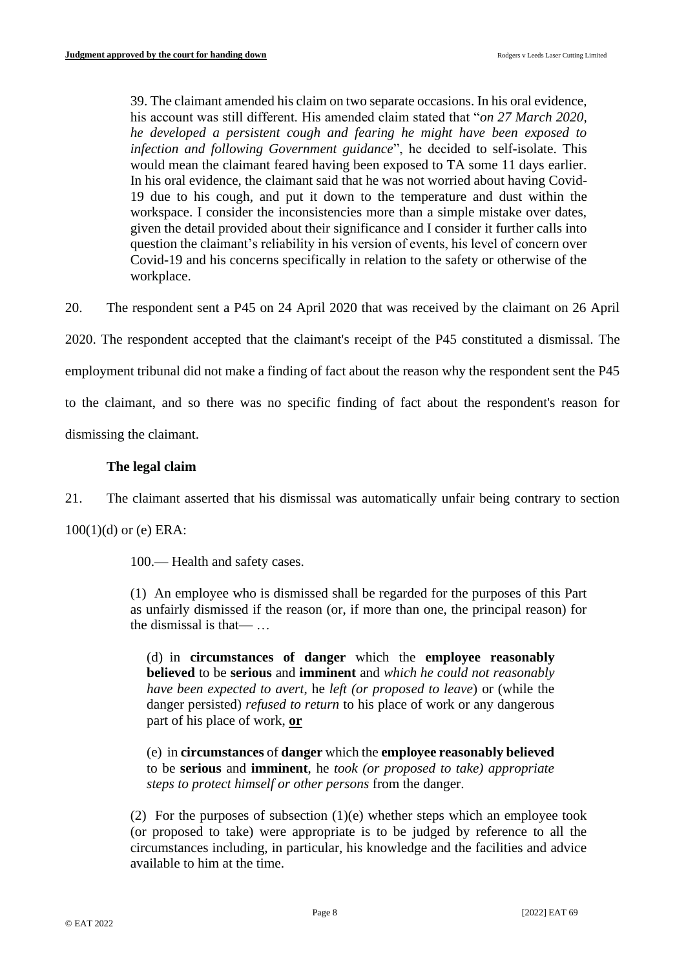39. The claimant amended his claim on two separate occasions. In his oral evidence, his account was still different. His amended claim stated that "*on 27 March 2020, he developed a persistent cough and fearing he might have been exposed to infection and following Government guidance*", he decided to self-isolate. This would mean the claimant feared having been exposed to TA some 11 days earlier. In his oral evidence, the claimant said that he was not worried about having Covid-19 due to his cough, and put it down to the temperature and dust within the workspace. I consider the inconsistencies more than a simple mistake over dates, given the detail provided about their significance and I consider it further calls into question the claimant's reliability in his version of events, his level of concern over Covid-19 and his concerns specifically in relation to the safety or otherwise of the workplace.

20. The respondent sent a P45 on 24 April 2020 that was received by the claimant on 26 April

2020. The respondent accepted that the claimant's receipt of the P45 constituted a dismissal. The

employment tribunal did not make a finding of fact about the reason why the respondent sent the P45

to the claimant, and so there was no specific finding of fact about the respondent's reason for

dismissing the claimant.

## **The legal claim**

21. The claimant asserted that his dismissal was automatically unfair being contrary to section

100(1)(d) or (e) ERA:

100.— Health and safety cases.

(1) An employee who is dismissed shall be regarded for the purposes of this Part as unfairly dismissed if the reason (or, if more than one, the principal reason) for the dismissal is that— …

(d) in **circumstances of danger** which the **employee reasonably believed** to be **serious** and **imminent** and *which he could not reasonably have been expected to avert*, he *left (or proposed to leave*) or (while the danger persisted) *refused to return* to his place of work or any dangerous part of his place of work, **or**

(e) in **circumstances** of **danger** which the **employee reasonably believed** to be **serious** and **imminent**, he *took (or proposed to take) appropriate steps to protect himself or other persons* from the danger.

(2) For the purposes of subsection (1)(e) whether steps which an employee took (or proposed to take) were appropriate is to be judged by reference to all the circumstances including, in particular, his knowledge and the facilities and advice available to him at the time.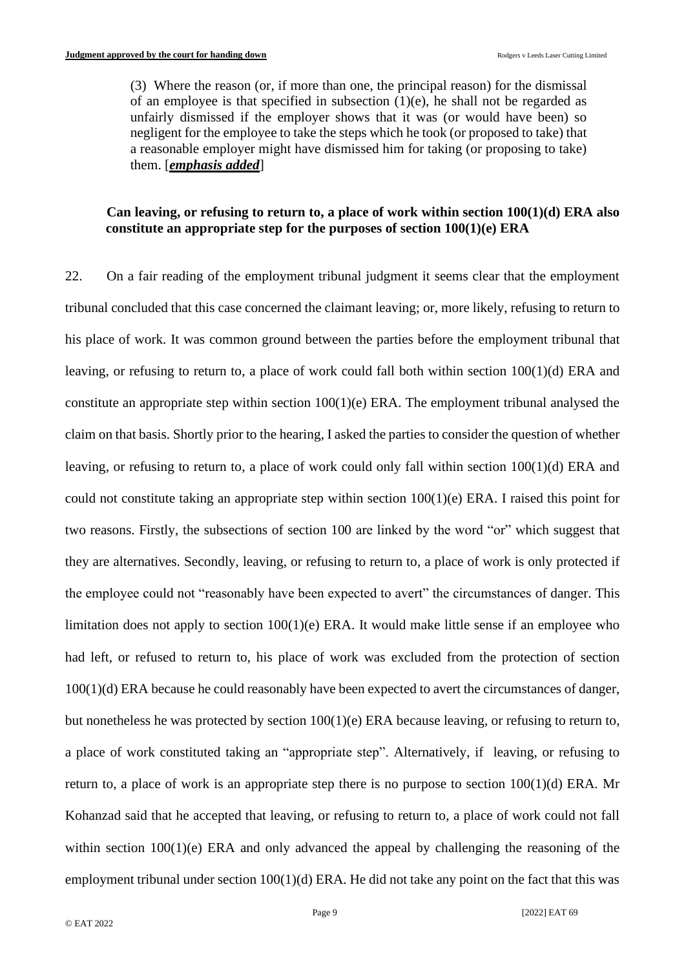(3) Where the reason (or, if more than one, the principal reason) for the dismissal of an employee is that specified in subsection  $(1)(e)$ , he shall not be regarded as unfairly dismissed if the employer shows that it was (or would have been) so negligent for the employee to take the steps which he took (or proposed to take) that a reasonable employer might have dismissed him for taking (or proposing to take) them. [*emphasis added*]

## **Can leaving, or refusing to return to, a place of work within section 100(1)(d) ERA also constitute an appropriate step for the purposes of section 100(1)(e) ERA**

22. On a fair reading of the employment tribunal judgment it seems clear that the employment tribunal concluded that this case concerned the claimant leaving; or, more likely, refusing to return to his place of work. It was common ground between the parties before the employment tribunal that leaving, or refusing to return to, a place of work could fall both within section 100(1)(d) ERA and constitute an appropriate step within section  $100(1)(e)$  ERA. The employment tribunal analysed the claim on that basis. Shortly prior to the hearing, I asked the parties to consider the question of whether leaving, or refusing to return to, a place of work could only fall within section 100(1)(d) ERA and could not constitute taking an appropriate step within section 100(1)(e) ERA. I raised this point for two reasons. Firstly, the subsections of section 100 are linked by the word "or" which suggest that they are alternatives. Secondly, leaving, or refusing to return to, a place of work is only protected if the employee could not "reasonably have been expected to avert" the circumstances of danger. This limitation does not apply to section 100(1)(e) ERA. It would make little sense if an employee who had left, or refused to return to, his place of work was excluded from the protection of section 100(1)(d) ERA because he could reasonably have been expected to avert the circumstances of danger, but nonetheless he was protected by section 100(1)(e) ERA because leaving, or refusing to return to, a place of work constituted taking an "appropriate step". Alternatively, if leaving, or refusing to return to, a place of work is an appropriate step there is no purpose to section  $100(1)(d)$  ERA. Mr Kohanzad said that he accepted that leaving, or refusing to return to, a place of work could not fall within section 100(1)(e) ERA and only advanced the appeal by challenging the reasoning of the employment tribunal under section 100(1)(d) ERA. He did not take any point on the fact that this was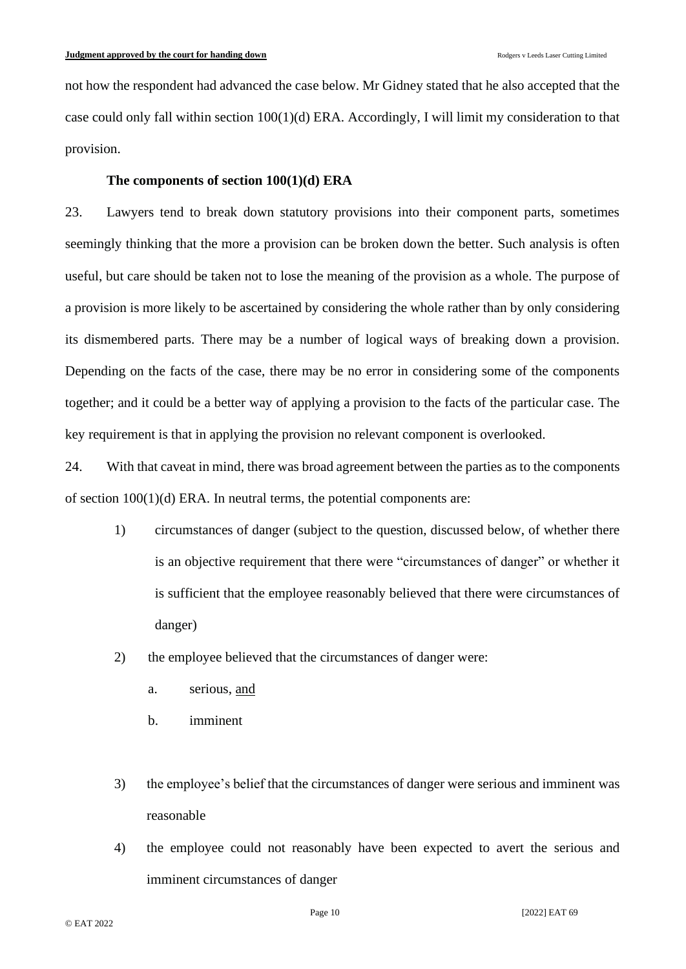not how the respondent had advanced the case below. Mr Gidney stated that he also accepted that the case could only fall within section 100(1)(d) ERA. Accordingly, I will limit my consideration to that provision.

### **The components of section 100(1)(d) ERA**

23. Lawyers tend to break down statutory provisions into their component parts, sometimes seemingly thinking that the more a provision can be broken down the better. Such analysis is often useful, but care should be taken not to lose the meaning of the provision as a whole. The purpose of a provision is more likely to be ascertained by considering the whole rather than by only considering its dismembered parts. There may be a number of logical ways of breaking down a provision. Depending on the facts of the case, there may be no error in considering some of the components together; and it could be a better way of applying a provision to the facts of the particular case. The key requirement is that in applying the provision no relevant component is overlooked.

24. With that caveat in mind, there was broad agreement between the parties as to the components of section 100(1)(d) ERA. In neutral terms, the potential components are:

- 1) circumstances of danger (subject to the question, discussed below, of whether there is an objective requirement that there were "circumstances of danger" or whether it is sufficient that the employee reasonably believed that there were circumstances of danger)
- 2) the employee believed that the circumstances of danger were:
	- a. serious, and
	- b. imminent
- 3) the employee's belief that the circumstances of danger were serious and imminent was reasonable
- 4) the employee could not reasonably have been expected to avert the serious and imminent circumstances of danger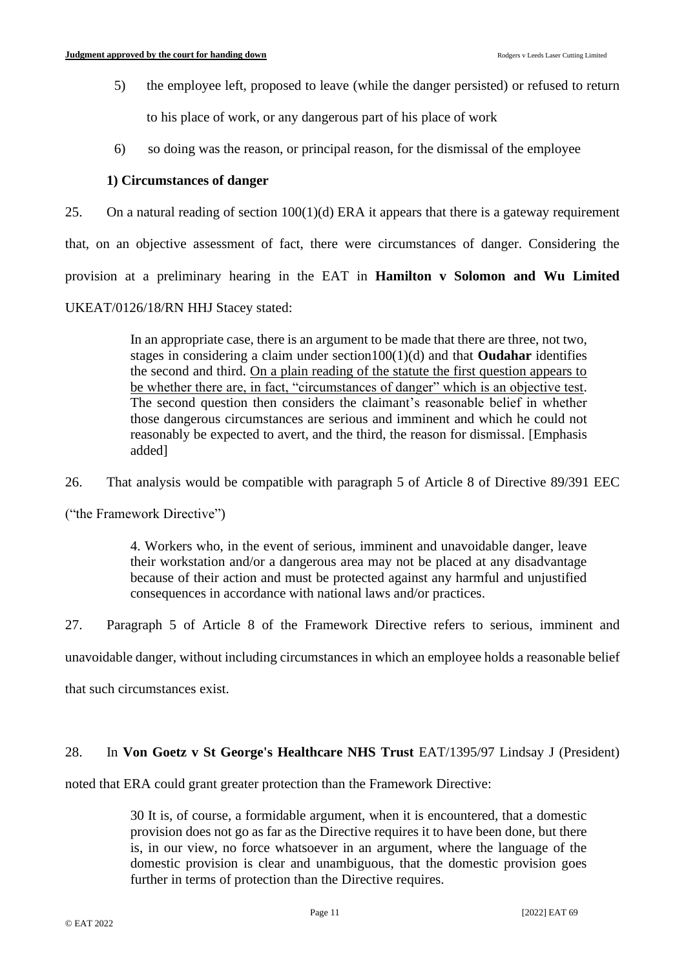5) the employee left, proposed to leave (while the danger persisted) or refused to return

to his place of work, or any dangerous part of his place of work

6) so doing was the reason, or principal reason, for the dismissal of the employee

## **1) Circumstances of danger**

25. On a natural reading of section  $100(1)(d)$  ERA it appears that there is a gateway requirement that, on an objective assessment of fact, there were circumstances of danger. Considering the provision at a preliminary hearing in the EAT in **Hamilton v Solomon and Wu Limited** UKEAT/0126/18/RN HHJ Stacey stated:

> In an appropriate case, there is an argument to be made that there are three, not two, stages in considering a claim under section100(1)(d) and that **Oudahar** identifies the second and third. On a plain reading of the statute the first question appears to be whether there are, in fact, "circumstances of danger" which is an objective test. The second question then considers the claimant's reasonable belief in whether those dangerous circumstances are serious and imminent and which he could not reasonably be expected to avert, and the third, the reason for dismissal. [Emphasis added]

26. That analysis would be compatible with paragraph 5 of Article 8 of Directive 89/391 EEC

("the Framework Directive")

4. Workers who, in the event of serious, imminent and unavoidable danger, leave their workstation and/or a dangerous area may not be placed at any disadvantage because of their action and must be protected against any harmful and unjustified consequences in accordance with national laws and/or practices.

27. Paragraph 5 of Article 8 of the Framework Directive refers to serious, imminent and

unavoidable danger, without including circumstances in which an employee holds a reasonable belief

that such circumstances exist.

## 28. In **Von Goetz v St George's Healthcare NHS Trust** EAT/1395/97 Lindsay J (President)

noted that ERA could grant greater protection than the Framework Directive:

30 It is, of course, a formidable argument, when it is encountered, that a domestic provision does not go as far as the Directive requires it to have been done, but there is, in our view, no force whatsoever in an argument, where the language of the domestic provision is clear and unambiguous, that the domestic provision goes further in terms of protection than the Directive requires.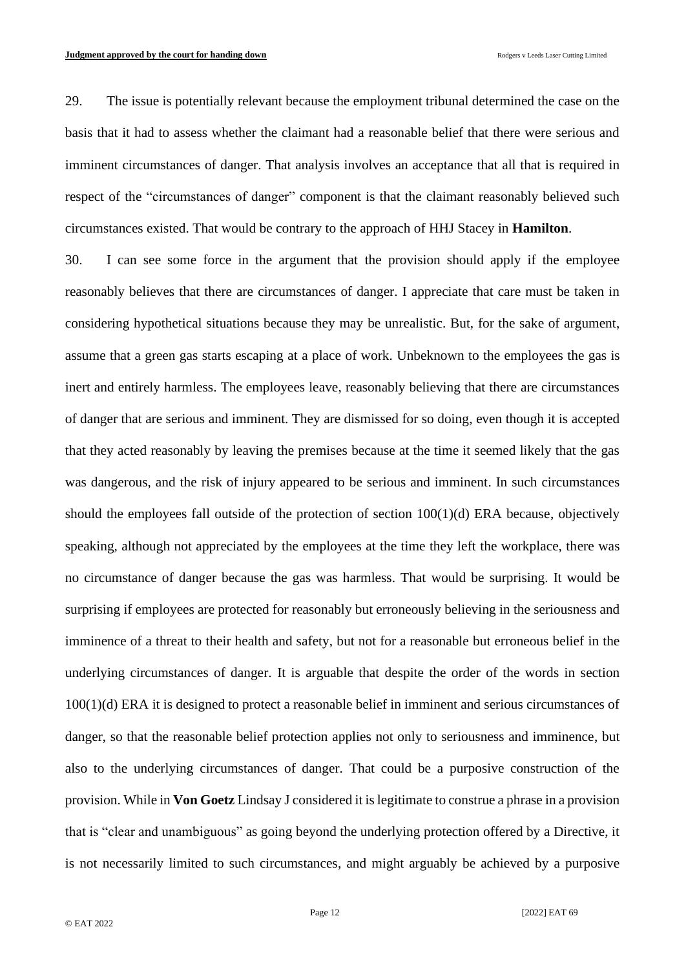29. The issue is potentially relevant because the employment tribunal determined the case on the basis that it had to assess whether the claimant had a reasonable belief that there were serious and imminent circumstances of danger. That analysis involves an acceptance that all that is required in respect of the "circumstances of danger" component is that the claimant reasonably believed such circumstances existed. That would be contrary to the approach of HHJ Stacey in **Hamilton**.

30. I can see some force in the argument that the provision should apply if the employee reasonably believes that there are circumstances of danger. I appreciate that care must be taken in considering hypothetical situations because they may be unrealistic. But, for the sake of argument, assume that a green gas starts escaping at a place of work. Unbeknown to the employees the gas is inert and entirely harmless. The employees leave, reasonably believing that there are circumstances of danger that are serious and imminent. They are dismissed for so doing, even though it is accepted that they acted reasonably by leaving the premises because at the time it seemed likely that the gas was dangerous, and the risk of injury appeared to be serious and imminent. In such circumstances should the employees fall outside of the protection of section 100(1)(d) ERA because, objectively speaking, although not appreciated by the employees at the time they left the workplace, there was no circumstance of danger because the gas was harmless. That would be surprising. It would be surprising if employees are protected for reasonably but erroneously believing in the seriousness and imminence of a threat to their health and safety, but not for a reasonable but erroneous belief in the underlying circumstances of danger. It is arguable that despite the order of the words in section 100(1)(d) ERA it is designed to protect a reasonable belief in imminent and serious circumstances of danger, so that the reasonable belief protection applies not only to seriousness and imminence, but also to the underlying circumstances of danger. That could be a purposive construction of the provision. While in **Von Goetz** Lindsay J considered it is legitimate to construe a phrase in a provision that is "clear and unambiguous" as going beyond the underlying protection offered by a Directive, it is not necessarily limited to such circumstances, and might arguably be achieved by a purposive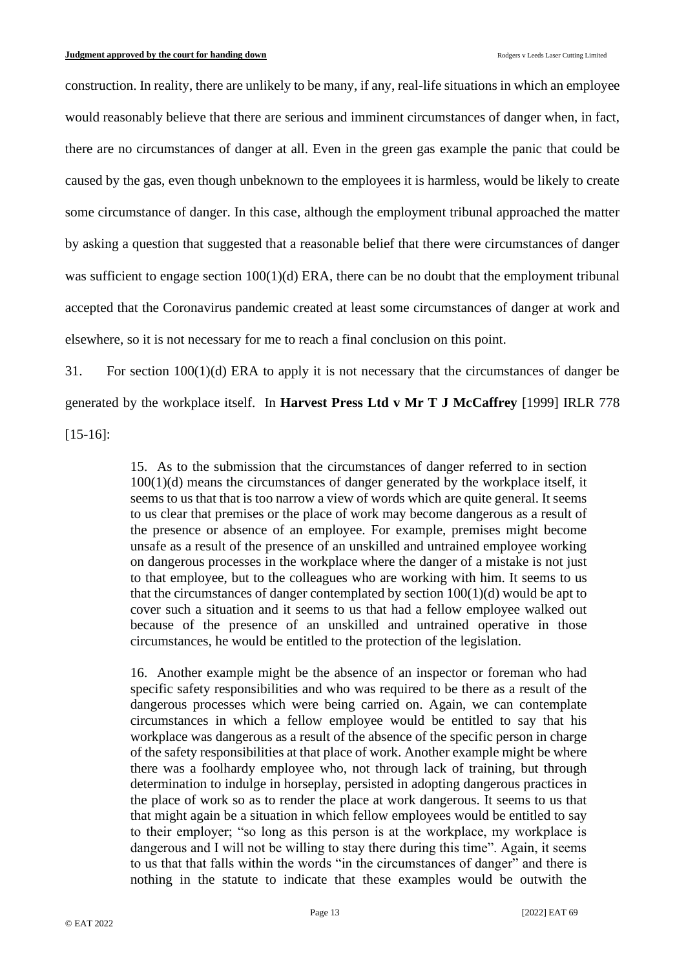construction. In reality, there are unlikely to be many, if any, real-life situations in which an employee would reasonably believe that there are serious and imminent circumstances of danger when, in fact, there are no circumstances of danger at all. Even in the green gas example the panic that could be caused by the gas, even though unbeknown to the employees it is harmless, would be likely to create some circumstance of danger. In this case, although the employment tribunal approached the matter by asking a question that suggested that a reasonable belief that there were circumstances of danger was sufficient to engage section  $100(1)(d)$  ERA, there can be no doubt that the employment tribunal accepted that the Coronavirus pandemic created at least some circumstances of danger at work and elsewhere, so it is not necessary for me to reach a final conclusion on this point.

31. For section 100(1)(d) ERA to apply it is not necessary that the circumstances of danger be generated by the workplace itself. In **Harvest Press Ltd v Mr T J McCaffrey** [1999] IRLR 778 [15-16]:

> 15. As to the submission that the circumstances of danger referred to in section 100(1)(d) means the circumstances of danger generated by the workplace itself, it seems to us that that is too narrow a view of words which are quite general. It seems to us clear that premises or the place of work may become dangerous as a result of the presence or absence of an employee. For example, premises might become unsafe as a result of the presence of an unskilled and untrained employee working on dangerous processes in the workplace where the danger of a mistake is not just to that employee, but to the colleagues who are working with him. It seems to us that the circumstances of danger contemplated by section  $100(1)(d)$  would be apt to cover such a situation and it seems to us that had a fellow employee walked out because of the presence of an unskilled and untrained operative in those circumstances, he would be entitled to the protection of the legislation.

> 16. Another example might be the absence of an inspector or foreman who had specific safety responsibilities and who was required to be there as a result of the dangerous processes which were being carried on. Again, we can contemplate circumstances in which a fellow employee would be entitled to say that his workplace was dangerous as a result of the absence of the specific person in charge of the safety responsibilities at that place of work. Another example might be where there was a foolhardy employee who, not through lack of training, but through determination to indulge in horseplay, persisted in adopting dangerous practices in the place of work so as to render the place at work dangerous. It seems to us that that might again be a situation in which fellow employees would be entitled to say to their employer; "so long as this person is at the workplace, my workplace is dangerous and I will not be willing to stay there during this time". Again, it seems to us that that falls within the words "in the circumstances of danger" and there is nothing in the statute to indicate that these examples would be outwith the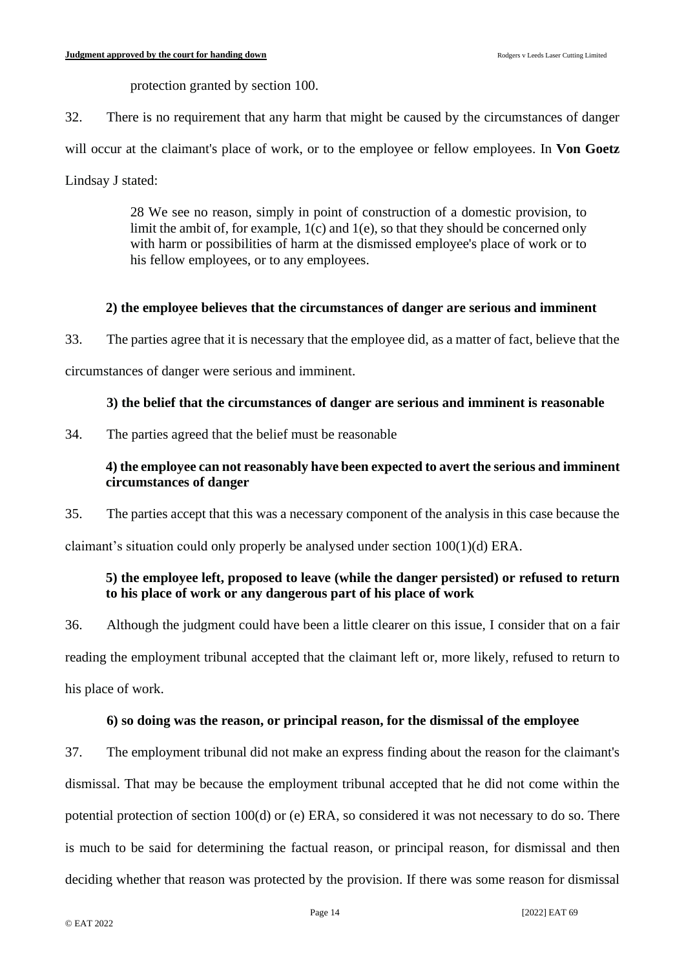protection granted by section 100.

32. There is no requirement that any harm that might be caused by the circumstances of danger

will occur at the claimant's place of work, or to the employee or fellow employees. In **Von Goetz** 

Lindsay J stated:

28 We see no reason, simply in point of construction of a domestic provision, to limit the ambit of, for example,  $1(c)$  and  $1(e)$ , so that they should be concerned only with harm or possibilities of harm at the dismissed employee's place of work or to his fellow employees, or to any employees.

## **2) the employee believes that the circumstances of danger are serious and imminent**

33. The parties agree that it is necessary that the employee did, as a matter of fact, believe that the

circumstances of danger were serious and imminent.

### **3) the belief that the circumstances of danger are serious and imminent is reasonable**

34. The parties agreed that the belief must be reasonable

## **4) the employee can not reasonably have been expected to avert the serious and imminent circumstances of danger**

35. The parties accept that this was a necessary component of the analysis in this case because the

claimant's situation could only properly be analysed under section 100(1)(d) ERA.

## **5) the employee left, proposed to leave (while the danger persisted) or refused to return to his place of work or any dangerous part of his place of work**

36. Although the judgment could have been a little clearer on this issue, I consider that on a fair reading the employment tribunal accepted that the claimant left or, more likely, refused to return to his place of work.

### **6) so doing was the reason, or principal reason, for the dismissal of the employee**

37. The employment tribunal did not make an express finding about the reason for the claimant's dismissal. That may be because the employment tribunal accepted that he did not come within the potential protection of section 100(d) or (e) ERA, so considered it was not necessary to do so. There is much to be said for determining the factual reason, or principal reason, for dismissal and then deciding whether that reason was protected by the provision. If there was some reason for dismissal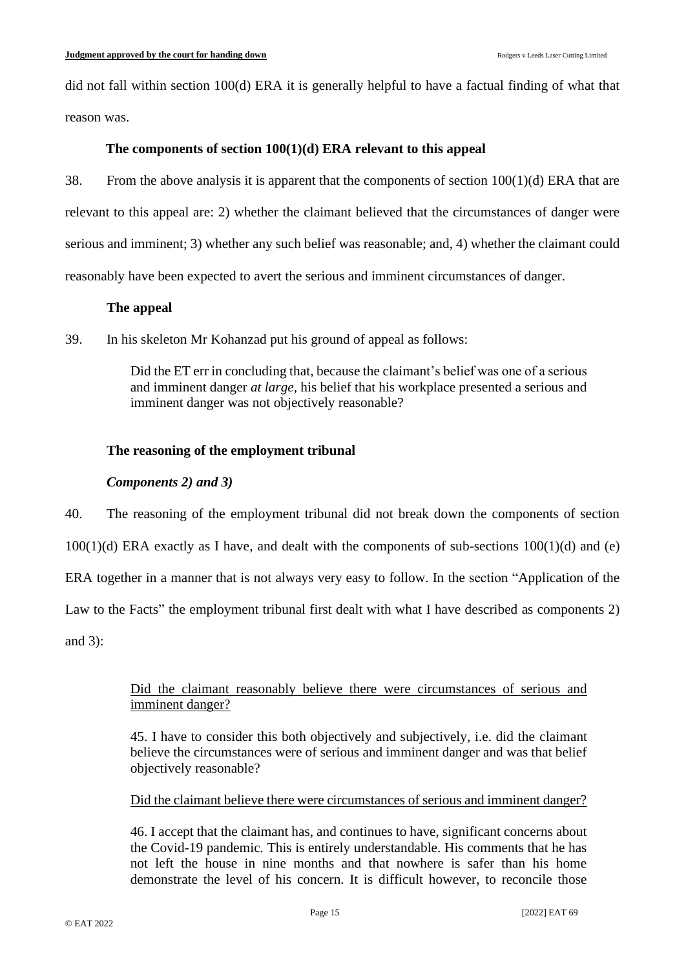did not fall within section 100(d) ERA it is generally helpful to have a factual finding of what that reason was.

## **The components of section 100(1)(d) ERA relevant to this appeal**

38. From the above analysis it is apparent that the components of section 100(1)(d) ERA that are relevant to this appeal are: 2) whether the claimant believed that the circumstances of danger were serious and imminent; 3) whether any such belief was reasonable; and, 4) whether the claimant could reasonably have been expected to avert the serious and imminent circumstances of danger.

## **The appeal**

39. In his skeleton Mr Kohanzad put his ground of appeal as follows:

Did the ET err in concluding that, because the claimant's belief was one of a serious and imminent danger *at large*, his belief that his workplace presented a serious and imminent danger was not objectively reasonable?

## **The reasoning of the employment tribunal**

## *Components 2) and 3)*

40. The reasoning of the employment tribunal did not break down the components of section

 $100(1)(d)$  ERA exactly as I have, and dealt with the components of sub-sections  $100(1)(d)$  and (e)

ERA together in a manner that is not always very easy to follow. In the section "Application of the

Law to the Facts" the employment tribunal first dealt with what I have described as components 2)

and 3):

## Did the claimant reasonably believe there were circumstances of serious and imminent danger?

45. I have to consider this both objectively and subjectively, i.e. did the claimant believe the circumstances were of serious and imminent danger and was that belief objectively reasonable?

Did the claimant believe there were circumstances of serious and imminent danger?

46. I accept that the claimant has, and continues to have, significant concerns about the Covid-19 pandemic. This is entirely understandable. His comments that he has not left the house in nine months and that nowhere is safer than his home demonstrate the level of his concern. It is difficult however, to reconcile those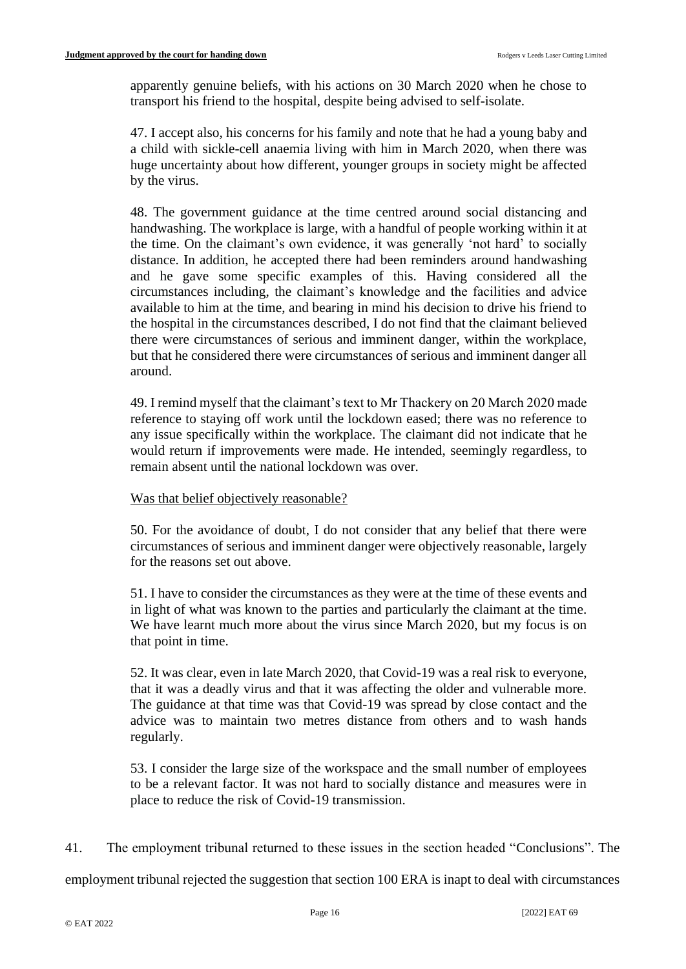apparently genuine beliefs, with his actions on 30 March 2020 when he chose to transport his friend to the hospital, despite being advised to self-isolate.

47. I accept also, his concerns for his family and note that he had a young baby and a child with sickle-cell anaemia living with him in March 2020, when there was huge uncertainty about how different, younger groups in society might be affected by the virus.

48. The government guidance at the time centred around social distancing and handwashing. The workplace is large, with a handful of people working within it at the time. On the claimant's own evidence, it was generally 'not hard' to socially distance. In addition, he accepted there had been reminders around handwashing and he gave some specific examples of this. Having considered all the circumstances including, the claimant's knowledge and the facilities and advice available to him at the time, and bearing in mind his decision to drive his friend to the hospital in the circumstances described, I do not find that the claimant believed there were circumstances of serious and imminent danger, within the workplace, but that he considered there were circumstances of serious and imminent danger all around.

49. I remind myself that the claimant's text to Mr Thackery on 20 March 2020 made reference to staying off work until the lockdown eased; there was no reference to any issue specifically within the workplace. The claimant did not indicate that he would return if improvements were made. He intended, seemingly regardless, to remain absent until the national lockdown was over.

Was that belief objectively reasonable?

50. For the avoidance of doubt, I do not consider that any belief that there were circumstances of serious and imminent danger were objectively reasonable, largely for the reasons set out above.

51. I have to consider the circumstances as they were at the time of these events and in light of what was known to the parties and particularly the claimant at the time. We have learnt much more about the virus since March 2020, but my focus is on that point in time.

52. It was clear, even in late March 2020, that Covid-19 was a real risk to everyone, that it was a deadly virus and that it was affecting the older and vulnerable more. The guidance at that time was that Covid-19 was spread by close contact and the advice was to maintain two metres distance from others and to wash hands regularly.

53. I consider the large size of the workspace and the small number of employees to be a relevant factor. It was not hard to socially distance and measures were in place to reduce the risk of Covid-19 transmission.

41. The employment tribunal returned to these issues in the section headed "Conclusions". The

employment tribunal rejected the suggestion that section 100 ERA is inapt to deal with circumstances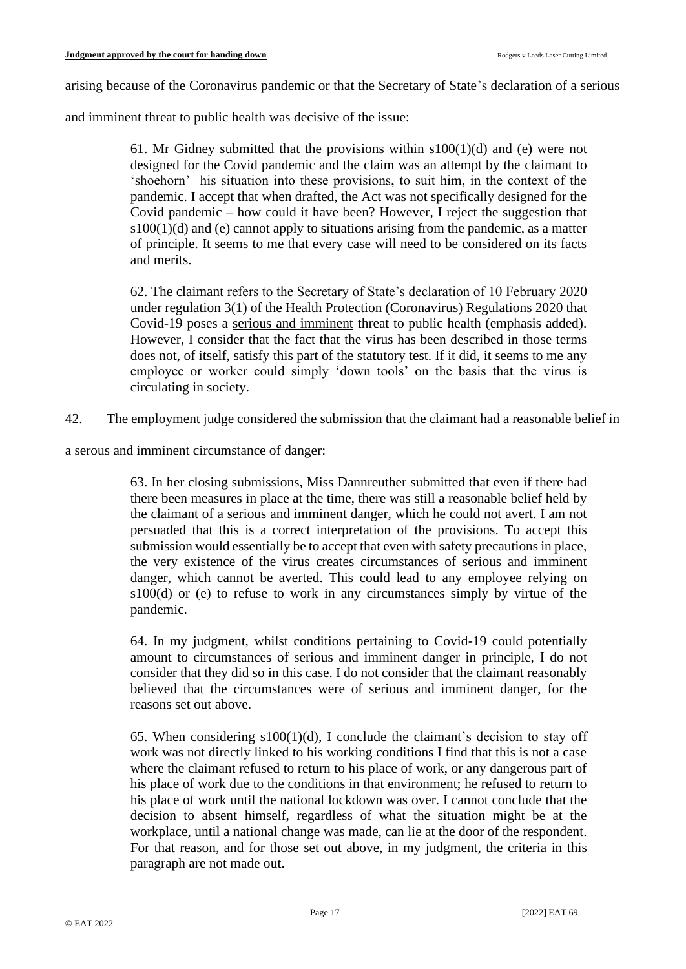arising because of the Coronavirus pandemic or that the Secretary of State's declaration of a serious

and imminent threat to public health was decisive of the issue:

61. Mr Gidney submitted that the provisions within  $s100(1)(d)$  and (e) were not designed for the Covid pandemic and the claim was an attempt by the claimant to 'shoehorn' his situation into these provisions, to suit him, in the context of the pandemic. I accept that when drafted, the Act was not specifically designed for the Covid pandemic – how could it have been? However, I reject the suggestion that  $s100(1)(d)$  and (e) cannot apply to situations arising from the pandemic, as a matter of principle. It seems to me that every case will need to be considered on its facts and merits.

62. The claimant refers to the Secretary of State's declaration of 10 February 2020 under regulation 3(1) of the Health Protection (Coronavirus) Regulations 2020 that Covid-19 poses a serious and imminent threat to public health (emphasis added). However, I consider that the fact that the virus has been described in those terms does not, of itself, satisfy this part of the statutory test. If it did, it seems to me any employee or worker could simply 'down tools' on the basis that the virus is circulating in society.

42. The employment judge considered the submission that the claimant had a reasonable belief in

a serous and imminent circumstance of danger:

63. In her closing submissions, Miss Dannreuther submitted that even if there had there been measures in place at the time, there was still a reasonable belief held by the claimant of a serious and imminent danger, which he could not avert. I am not persuaded that this is a correct interpretation of the provisions. To accept this submission would essentially be to accept that even with safety precautions in place, the very existence of the virus creates circumstances of serious and imminent danger, which cannot be averted. This could lead to any employee relying on s100(d) or (e) to refuse to work in any circumstances simply by virtue of the pandemic.

64. In my judgment, whilst conditions pertaining to Covid-19 could potentially amount to circumstances of serious and imminent danger in principle, I do not consider that they did so in this case. I do not consider that the claimant reasonably believed that the circumstances were of serious and imminent danger, for the reasons set out above.

65. When considering  $s100(1)(d)$ , I conclude the claimant's decision to stay off work was not directly linked to his working conditions I find that this is not a case where the claimant refused to return to his place of work, or any dangerous part of his place of work due to the conditions in that environment; he refused to return to his place of work until the national lockdown was over. I cannot conclude that the decision to absent himself, regardless of what the situation might be at the workplace, until a national change was made, can lie at the door of the respondent. For that reason, and for those set out above, in my judgment, the criteria in this paragraph are not made out.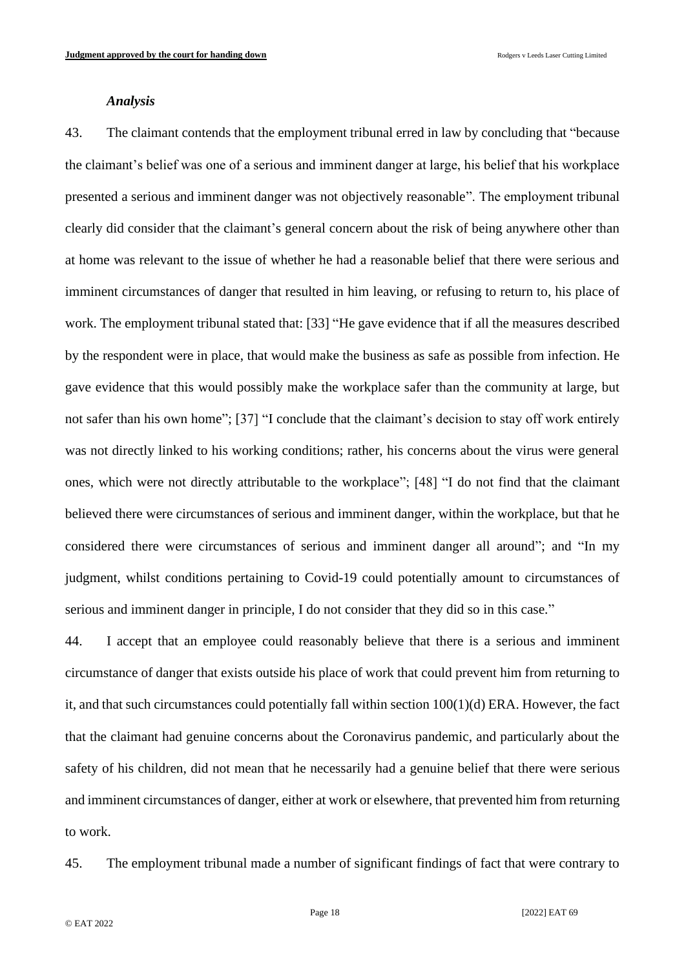#### *Analysis*

43. The claimant contends that the employment tribunal erred in law by concluding that "because the claimant's belief was one of a serious and imminent danger at large, his belief that his workplace presented a serious and imminent danger was not objectively reasonable". The employment tribunal clearly did consider that the claimant's general concern about the risk of being anywhere other than at home was relevant to the issue of whether he had a reasonable belief that there were serious and imminent circumstances of danger that resulted in him leaving, or refusing to return to, his place of work. The employment tribunal stated that: [33] "He gave evidence that if all the measures described by the respondent were in place, that would make the business as safe as possible from infection. He gave evidence that this would possibly make the workplace safer than the community at large, but not safer than his own home"; [37] "I conclude that the claimant's decision to stay off work entirely was not directly linked to his working conditions; rather, his concerns about the virus were general ones, which were not directly attributable to the workplace"; [48] "I do not find that the claimant believed there were circumstances of serious and imminent danger, within the workplace, but that he considered there were circumstances of serious and imminent danger all around"; and "In my judgment, whilst conditions pertaining to Covid-19 could potentially amount to circumstances of serious and imminent danger in principle, I do not consider that they did so in this case."

44. I accept that an employee could reasonably believe that there is a serious and imminent circumstance of danger that exists outside his place of work that could prevent him from returning to it, and that such circumstances could potentially fall within section 100(1)(d) ERA. However, the fact that the claimant had genuine concerns about the Coronavirus pandemic, and particularly about the safety of his children, did not mean that he necessarily had a genuine belief that there were serious and imminent circumstances of danger, either at work or elsewhere, that prevented him from returning to work.

45. The employment tribunal made a number of significant findings of fact that were contrary to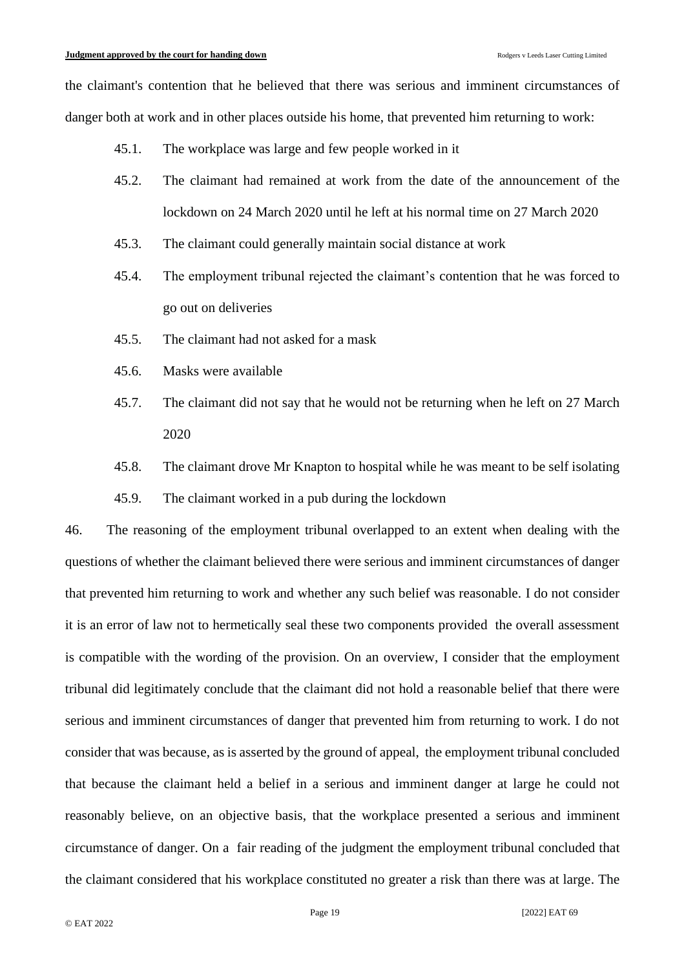the claimant's contention that he believed that there was serious and imminent circumstances of danger both at work and in other places outside his home, that prevented him returning to work:

- 45.1. The workplace was large and few people worked in it
- 45.2. The claimant had remained at work from the date of the announcement of the lockdown on 24 March 2020 until he left at his normal time on 27 March 2020
- 45.3. The claimant could generally maintain social distance at work
- 45.4. The employment tribunal rejected the claimant's contention that he was forced to go out on deliveries
- 45.5. The claimant had not asked for a mask
- 45.6. Masks were available
- 45.7. The claimant did not say that he would not be returning when he left on 27 March 2020
- 45.8. The claimant drove Mr Knapton to hospital while he was meant to be self isolating
- 45.9. The claimant worked in a pub during the lockdown

46. The reasoning of the employment tribunal overlapped to an extent when dealing with the questions of whether the claimant believed there were serious and imminent circumstances of danger that prevented him returning to work and whether any such belief was reasonable. I do not consider it is an error of law not to hermetically seal these two components provided the overall assessment is compatible with the wording of the provision. On an overview, I consider that the employment tribunal did legitimately conclude that the claimant did not hold a reasonable belief that there were serious and imminent circumstances of danger that prevented him from returning to work. I do not consider that was because, as is asserted by the ground of appeal, the employment tribunal concluded that because the claimant held a belief in a serious and imminent danger at large he could not reasonably believe, on an objective basis, that the workplace presented a serious and imminent circumstance of danger. On a fair reading of the judgment the employment tribunal concluded that the claimant considered that his workplace constituted no greater a risk than there was at large. The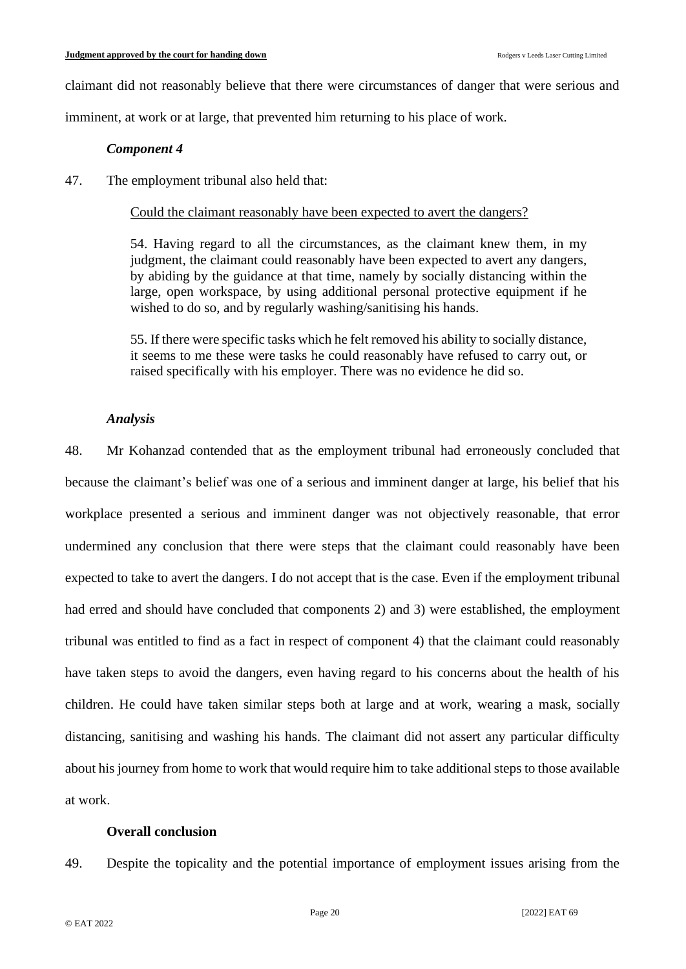claimant did not reasonably believe that there were circumstances of danger that were serious and

imminent, at work or at large, that prevented him returning to his place of work.

### *Component 4*

47. The employment tribunal also held that:

## Could the claimant reasonably have been expected to avert the dangers?

54. Having regard to all the circumstances, as the claimant knew them, in my judgment, the claimant could reasonably have been expected to avert any dangers, by abiding by the guidance at that time, namely by socially distancing within the large, open workspace, by using additional personal protective equipment if he wished to do so, and by regularly washing/sanitising his hands.

55. If there were specific tasks which he felt removed his ability to socially distance, it seems to me these were tasks he could reasonably have refused to carry out, or raised specifically with his employer. There was no evidence he did so.

## *Analysis*

48. Mr Kohanzad contended that as the employment tribunal had erroneously concluded that because the claimant's belief was one of a serious and imminent danger at large, his belief that his workplace presented a serious and imminent danger was not objectively reasonable, that error undermined any conclusion that there were steps that the claimant could reasonably have been expected to take to avert the dangers. I do not accept that is the case. Even if the employment tribunal had erred and should have concluded that components 2) and 3) were established, the employment tribunal was entitled to find as a fact in respect of component 4) that the claimant could reasonably have taken steps to avoid the dangers, even having regard to his concerns about the health of his children. He could have taken similar steps both at large and at work, wearing a mask, socially distancing, sanitising and washing his hands. The claimant did not assert any particular difficulty about his journey from home to work that would require him to take additional steps to those available at work.

### **Overall conclusion**

49. Despite the topicality and the potential importance of employment issues arising from the